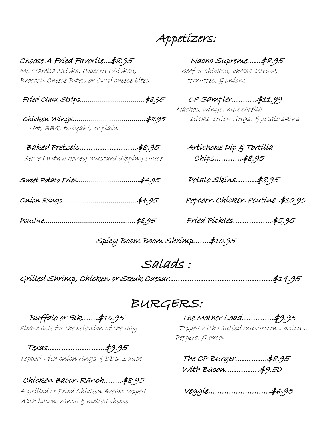Appetizers:

Choose A Fried Favorite…\$8.95 Nacho Supreme……\$8.95 Mozzarella Sticks, Popcorn Chicken, Beef or chicken, cheese, lettuce, Broccolí Cheese Bítes, or Curd cheese bítes tomatoes,  $\varepsilon$  oníons

Fried Clam Strips…………………………..\$8.95CP Sampler………..\$11.99

Chicken Wings………………………………\$8.95sticks, onion rings, & potato skins Hot, BBQ, teriyaki, or plain

Baked Pretzels…………………….\$8.95Artichoke Dip & Tortilla Served with a honey mustard dipping sauce Chips…………\$8.95

Sweet Potato Fries………………………….\$4.95 Potato Skins………\$8.95

Onion Rings……………………………….\$4.95 Popcorn Chicken Poutine..\$10.95

Poutine………………………………..........\$8.95 Fried Pickles……………..\$5.95

Nachos, wings, mozzarella

Spicy Boom Boom Shrimp…….\$10.95

Salads : Grilled Shrimp, Chicken or Steak Caesar………………………………………\$14.95

 $\mathcal{BURGERS:} \ \texttt{BURGERS:} \ \texttt{Buffalo or Elk.......}$ 

Texas…………………….\$9.95

### Chicken Bacon Ranch……..\$8.95

A grilled or Fried Chicken Breast topped Veggie………………………\$6.95 With bacon, ranch & melted cheese

Please ask for the selection of the day Topped with sautéed mushrooms, onions, Peppers, & bacon

Topped with onion rings & BBQ Sauce The CP Burger…………..\$8.95 With Bacon……………\$9.50